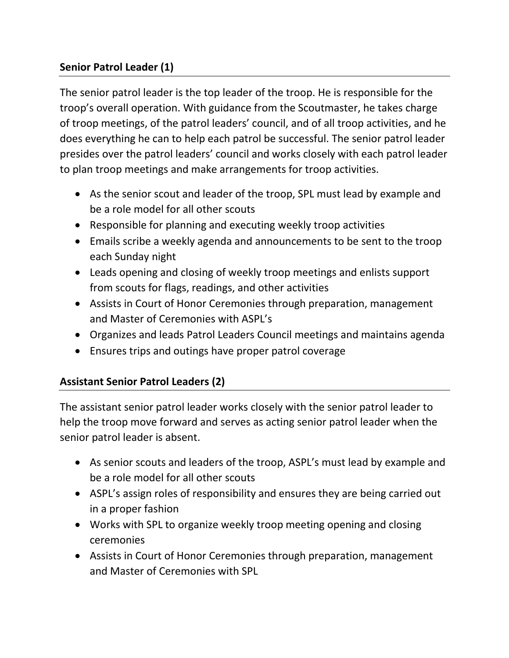# **Senior Patrol Leader (1)**

The senior patrol leader is the top leader of the troop. He is responsible for the troop's overall operation. With guidance from the Scoutmaster, he takes charge of troop meetings, of the patrol leaders' council, and of all troop activities, and he does everything he can to help each patrol be successful. The senior patrol leader presides over the patrol leaders' council and works closely with each patrol leader to plan troop meetings and make arrangements for troop activities.

- As the senior scout and leader of the troop, SPL must lead by example and be a role model for all other scouts
- Responsible for planning and executing weekly troop activities
- Emails scribe a weekly agenda and announcements to be sent to the troop each Sunday night
- Leads opening and closing of weekly troop meetings and enlists support from scouts for flags, readings, and other activities
- Assists in Court of Honor Ceremonies through preparation, management and Master of Ceremonies with ASPL's
- Organizes and leads Patrol Leaders Council meetings and maintains agenda
- Ensures trips and outings have proper patrol coverage

#### **Assistant Senior Patrol Leaders (2)**

The assistant senior patrol leader works closely with the senior patrol leader to help the troop move forward and serves as acting senior patrol leader when the senior patrol leader is absent.

- As senior scouts and leaders of the troop, ASPL's must lead by example and be a role model for all other scouts
- ASPL's assign roles of responsibility and ensures they are being carried out in a proper fashion
- Works with SPL to organize weekly troop meeting opening and closing ceremonies
- Assists in Court of Honor Ceremonies through preparation, management and Master of Ceremonies with SPL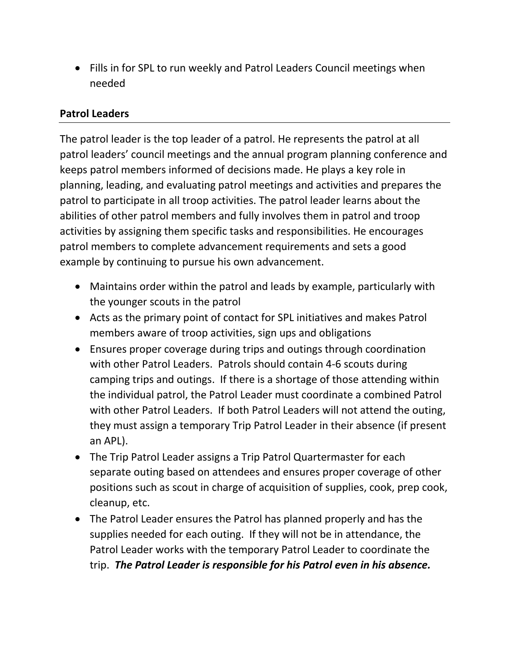• Fills in for SPL to run weekly and Patrol Leaders Council meetings when needed

### **Patrol Leaders**

The patrol leader is the top leader of a patrol. He represents the patrol at all patrol leaders' council meetings and the annual program planning conference and keeps patrol members informed of decisions made. He plays a key role in planning, leading, and evaluating patrol meetings and activities and prepares the patrol to participate in all troop activities. The patrol leader learns about the abilities of other patrol members and fully involves them in patrol and troop activities by assigning them specific tasks and responsibilities. He encourages patrol members to complete advancement requirements and sets a good example by continuing to pursue his own advancement.

- Maintains order within the patrol and leads by example, particularly with the younger scouts in the patrol
- Acts as the primary point of contact for SPL initiatives and makes Patrol members aware of troop activities, sign ups and obligations
- Ensures proper coverage during trips and outings through coordination with other Patrol Leaders. Patrols should contain 4-6 scouts during camping trips and outings. If there is a shortage of those attending within the individual patrol, the Patrol Leader must coordinate a combined Patrol with other Patrol Leaders. If both Patrol Leaders will not attend the outing, they must assign a temporary Trip Patrol Leader in their absence (if present an APL).
- The Trip Patrol Leader assigns a Trip Patrol Quartermaster for each separate outing based on attendees and ensures proper coverage of other positions such as scout in charge of acquisition of supplies, cook, prep cook, cleanup, etc.
- The Patrol Leader ensures the Patrol has planned properly and has the supplies needed for each outing. If they will not be in attendance, the Patrol Leader works with the temporary Patrol Leader to coordinate the trip. *The Patrol Leader is responsible for his Patrol even in his absence.*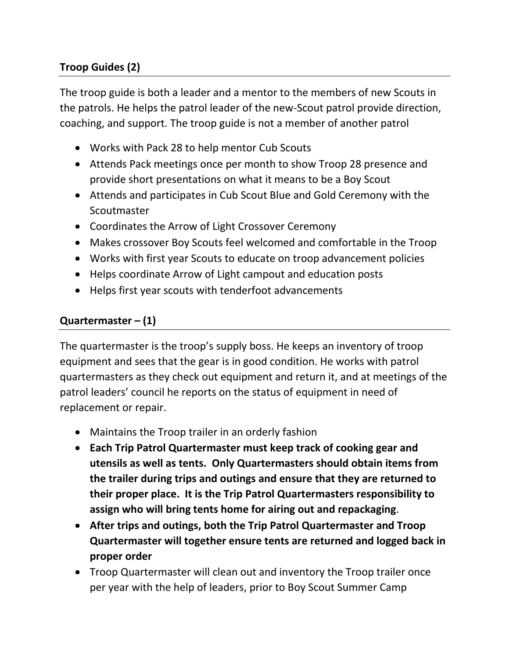# **Troop Guides (2)**

The troop guide is both a leader and a mentor to the members of new Scouts in the patrols. He helps the patrol leader of the new-Scout patrol provide direction, coaching, and support. The troop guide is not a member of another patrol

- Works with Pack 28 to help mentor Cub Scouts
- Attends Pack meetings once per month to show Troop 28 presence and provide short presentations on what it means to be a Boy Scout
- Attends and participates in Cub Scout Blue and Gold Ceremony with the Scoutmaster
- Coordinates the Arrow of Light Crossover Ceremony
- Makes crossover Boy Scouts feel welcomed and comfortable in the Troop
- Works with first year Scouts to educate on troop advancement policies
- Helps coordinate Arrow of Light campout and education posts
- Helps first year scouts with tenderfoot advancements

#### **Quartermaster – (1)**

The quartermaster is the troop's supply boss. He keeps an inventory of troop equipment and sees that the gear is in good condition. He works with patrol quartermasters as they check out equipment and return it, and at meetings of the patrol leaders' council he reports on the status of equipment in need of replacement or repair.

- Maintains the Troop trailer in an orderly fashion
- **Each Trip Patrol Quartermaster must keep track of cooking gear and utensils as well as tents. Only Quartermasters should obtain items from the trailer during trips and outings and ensure that they are returned to their proper place. It is the Trip Patrol Quartermasters responsibility to assign who will bring tents home for airing out and repackaging**.
- **After trips and outings, both the Trip Patrol Quartermaster and Troop Quartermaster will together ensure tents are returned and logged back in proper order**
- Troop Quartermaster will clean out and inventory the Troop trailer once per year with the help of leaders, prior to Boy Scout Summer Camp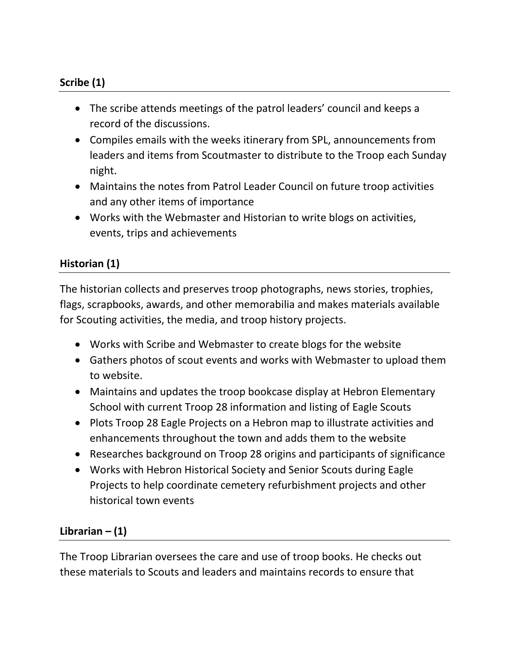## **Scribe (1)**

- The scribe attends meetings of the patrol leaders' council and keeps a record of the discussions.
- Compiles emails with the weeks itinerary from SPL, announcements from leaders and items from Scoutmaster to distribute to the Troop each Sunday night.
- Maintains the notes from Patrol Leader Council on future troop activities and any other items of importance
- Works with the Webmaster and Historian to write blogs on activities, events, trips and achievements

# **Historian (1)**

The historian collects and preserves troop photographs, news stories, trophies, flags, scrapbooks, awards, and other memorabilia and makes materials available for Scouting activities, the media, and troop history projects.

- Works with Scribe and Webmaster to create blogs for the website
- Gathers photos of scout events and works with Webmaster to upload them to website.
- Maintains and updates the troop bookcase display at Hebron Elementary School with current Troop 28 information and listing of Eagle Scouts
- Plots Troop 28 Eagle Projects on a Hebron map to illustrate activities and enhancements throughout the town and adds them to the website
- Researches background on Troop 28 origins and participants of significance
- Works with Hebron Historical Society and Senior Scouts during Eagle Projects to help coordinate cemetery refurbishment projects and other historical town events

### **Librarian – (1)**

The Troop Librarian oversees the care and use of troop books. He checks out these materials to Scouts and leaders and maintains records to ensure that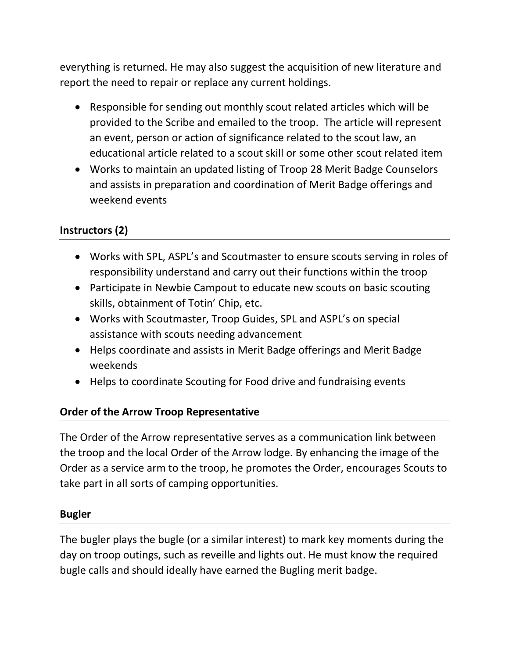everything is returned. He may also suggest the acquisition of new literature and report the need to repair or replace any current holdings.

- Responsible for sending out monthly scout related articles which will be provided to the Scribe and emailed to the troop. The article will represent an event, person or action of significance related to the scout law, an educational article related to a scout skill or some other scout related item
- Works to maintain an updated listing of Troop 28 Merit Badge Counselors and assists in preparation and coordination of Merit Badge offerings and weekend events

## **Instructors (2)**

- Works with SPL, ASPL's and Scoutmaster to ensure scouts serving in roles of responsibility understand and carry out their functions within the troop
- Participate in Newbie Campout to educate new scouts on basic scouting skills, obtainment of Totin' Chip, etc.
- Works with Scoutmaster, Troop Guides, SPL and ASPL's on special assistance with scouts needing advancement
- Helps coordinate and assists in Merit Badge offerings and Merit Badge weekends
- Helps to coordinate Scouting for Food drive and fundraising events

### **Order of the Arrow Troop Representative**

The Order of the Arrow representative serves as a communication link between the troop and the local Order of the Arrow lodge. By enhancing the image of the Order as a service arm to the troop, he promotes the Order, encourages Scouts to take part in all sorts of camping opportunities.

#### **Bugler**

The bugler plays the bugle (or a similar interest) to mark key moments during the day on troop outings, such as reveille and lights out. He must know the required bugle calls and should ideally have earned the Bugling merit badge.